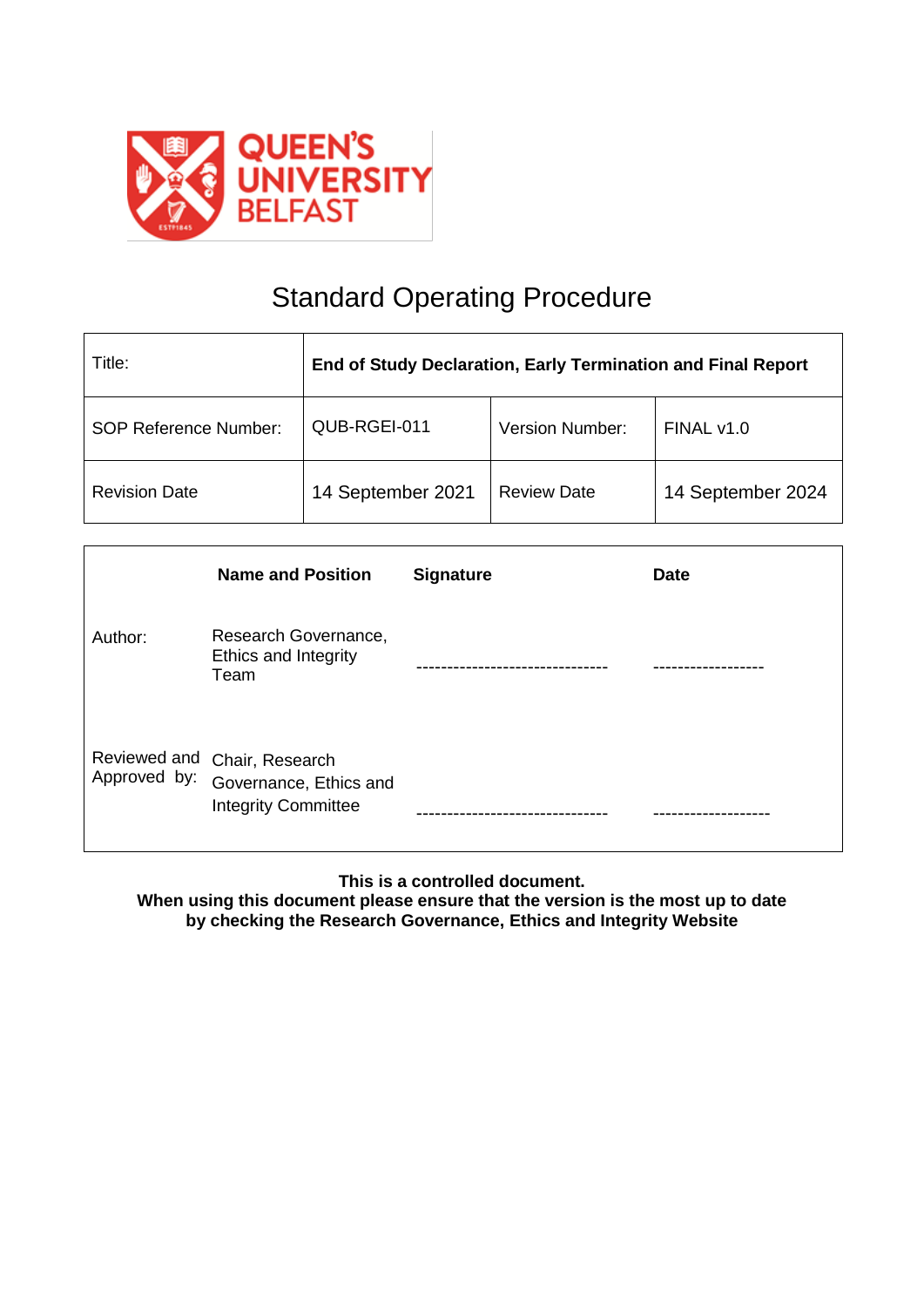

# Standard Operating Procedure

| Title:                       | End of Study Declaration, Early Termination and Final Report |                        |                   |
|------------------------------|--------------------------------------------------------------|------------------------|-------------------|
| <b>SOP Reference Number:</b> | QUB-RGEI-011                                                 | <b>Version Number:</b> | FINAL v1.0        |
| <b>Revision Date</b>         | 14 September 2021                                            | <b>Review Date</b>     | 14 September 2024 |

|              | <b>Name and Position</b>                                                             | <b>Signature</b> | <b>Date</b> |
|--------------|--------------------------------------------------------------------------------------|------------------|-------------|
| Author:      | Research Governance,<br>Ethics and Integrity<br>Team                                 |                  |             |
| Approved by: | Reviewed and Chair, Research<br>Governance, Ethics and<br><b>Integrity Committee</b> |                  |             |

**This is a controlled document.**

**When using this document please ensure that the version is the most up to date by checking the Research Governance, Ethics and Integrity Website**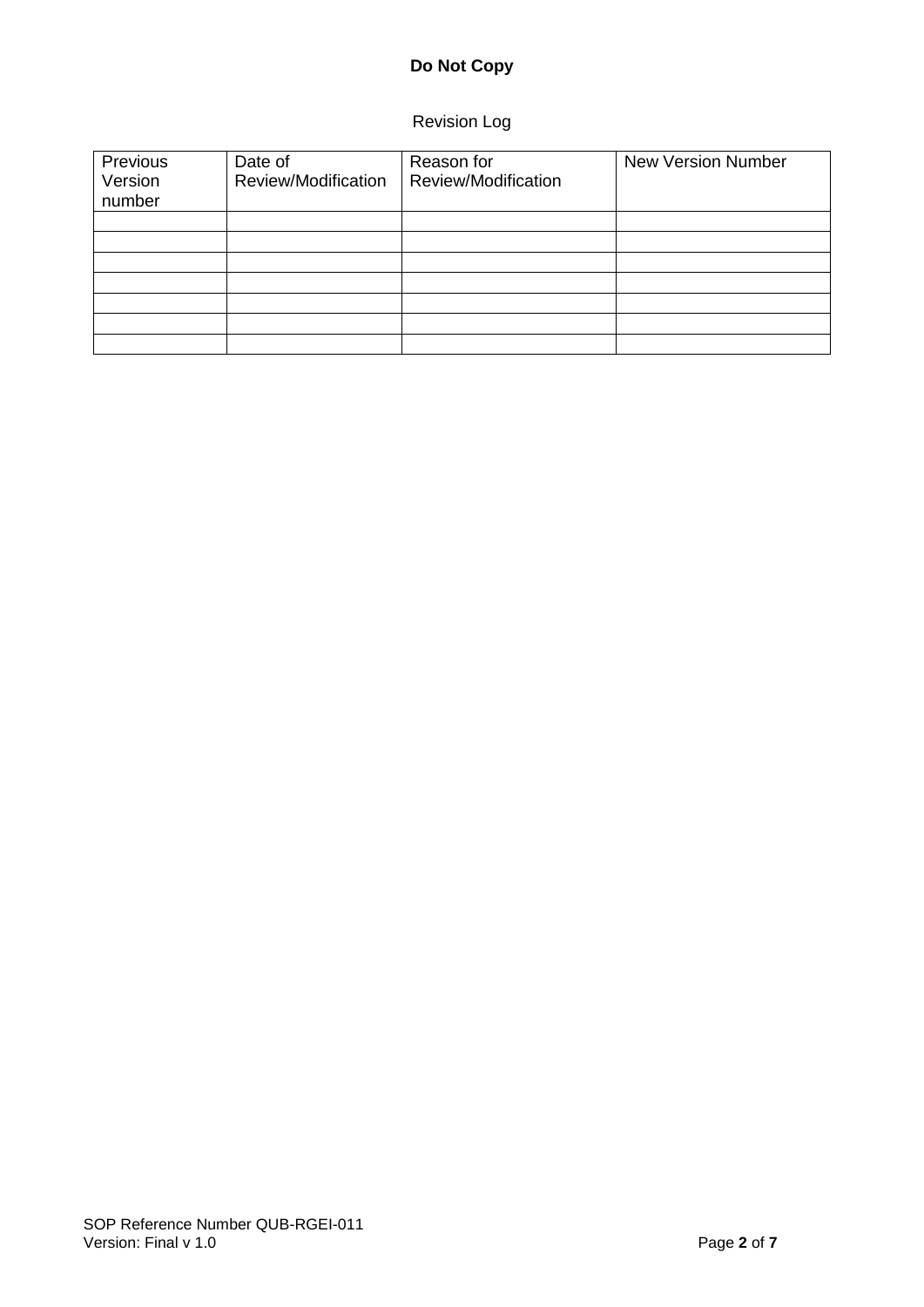# **Do Not Copy**

# Revision Log

| Previous<br>Version<br>number | Date of<br>Review/Modification | Reason for<br>Review/Modification | <b>New Version Number</b> |
|-------------------------------|--------------------------------|-----------------------------------|---------------------------|
|                               |                                |                                   |                           |
|                               |                                |                                   |                           |
|                               |                                |                                   |                           |
|                               |                                |                                   |                           |
|                               |                                |                                   |                           |
|                               |                                |                                   |                           |
|                               |                                |                                   |                           |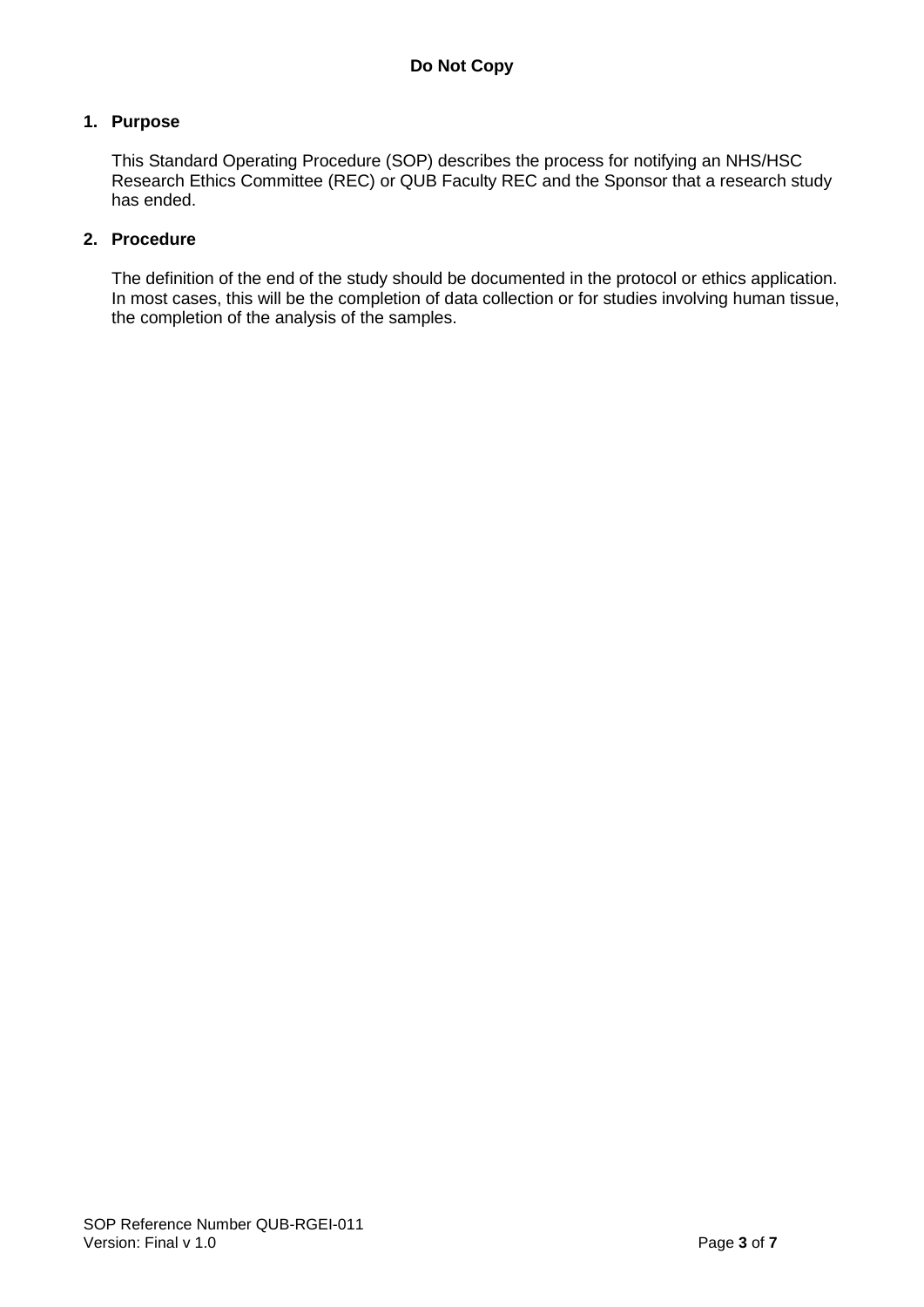#### **1. Purpose**

This Standard Operating Procedure (SOP) describes the process for notifying an NHS/HSC Research Ethics Committee (REC) or QUB Faculty REC and the Sponsor that a research study has ended.

# **2. Procedure**

The definition of the end of the study should be documented in the protocol or ethics application. In most cases, this will be the completion of data collection or for studies involving human tissue, the completion of the analysis of the samples.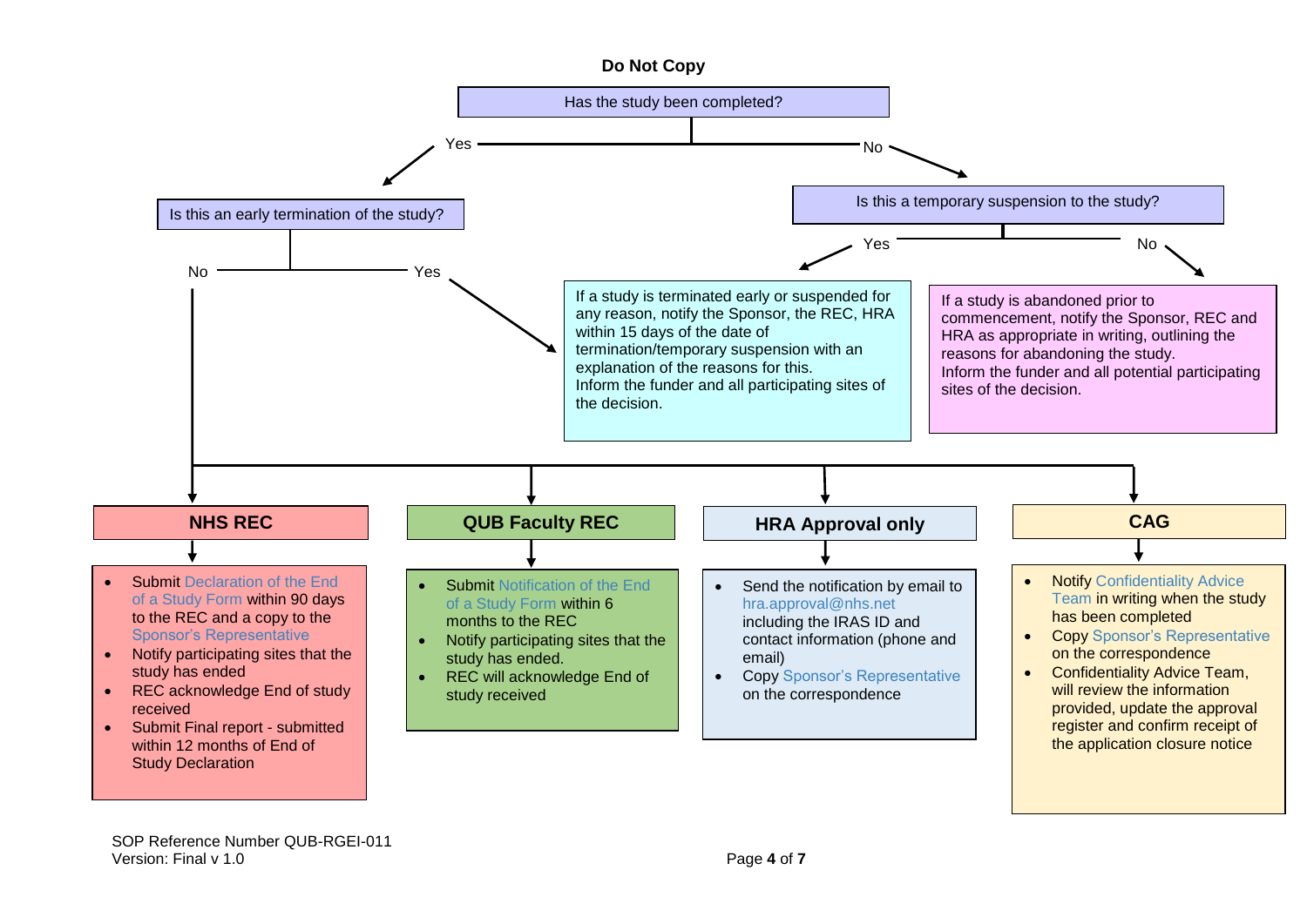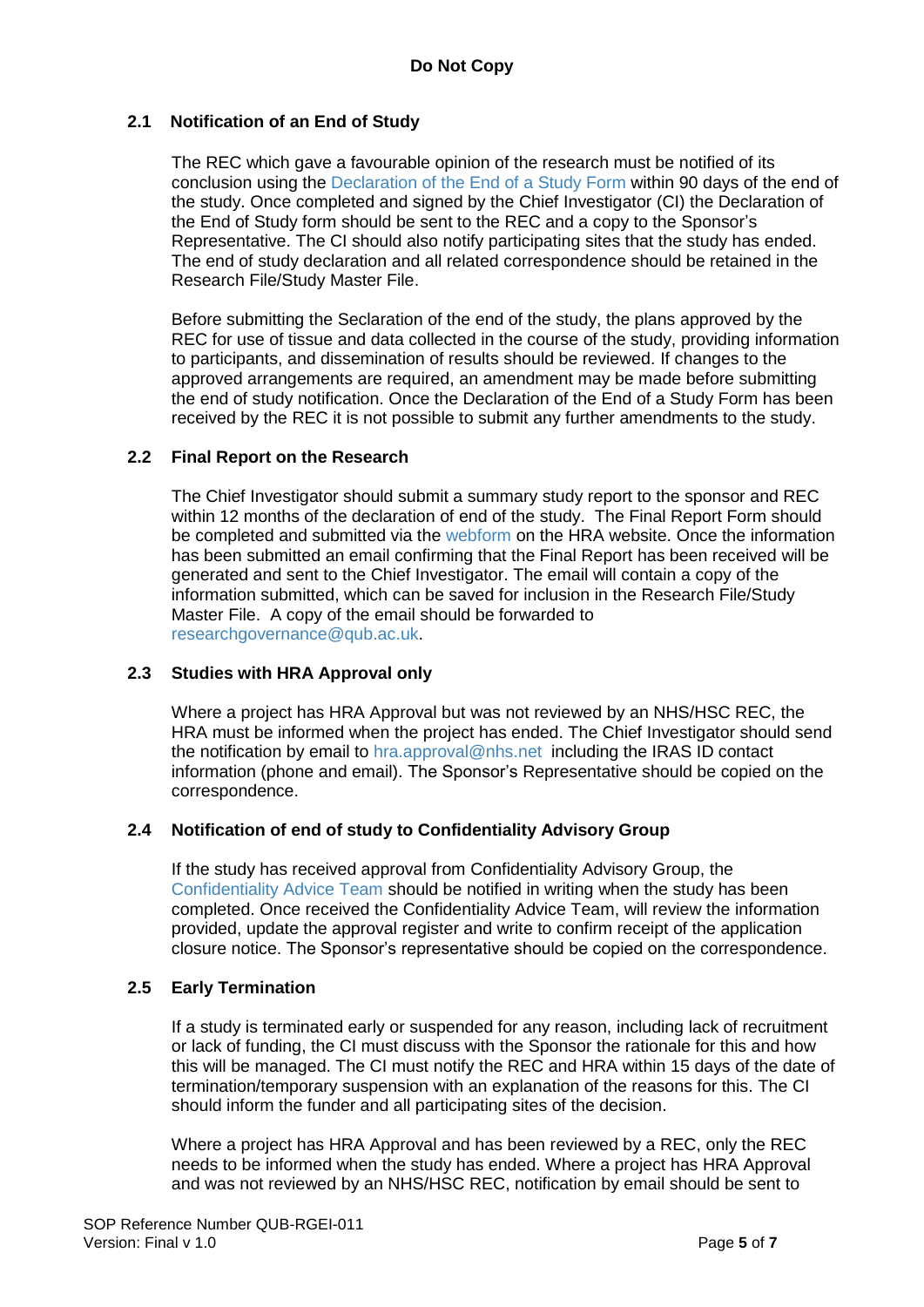# **2.1 Notification of an End of Study**

The REC which gave a favourable opinion of the research must be notified of its conclusion using the [Declaration of the End of a Study Form](https://www.hra.nhs.uk/approvals-amendments/managing-your-approval/ending-your-project/) within 90 days of the end of the study. Once completed and signed by the Chief Investigator (CI) the Declaration of the End of Study form should be sent to the REC and a copy to the Sponsor's Representative. The CI should also notify participating sites that the study has ended. The end of study declaration and all related correspondence should be retained in the Research File/Study Master File.

Before submitting the Seclaration of the end of the study, the plans approved by the REC for use of tissue and data collected in the course of the study, providing information to participants, and dissemination of results should be reviewed. If changes to the approved arrangements are required, an amendment may be made before submitting the end of study notification. Once the Declaration of the End of a Study Form has been received by the REC it is not possible to submit any further amendments to the study.

#### **2.2 Final Report on the Research**

The Chief Investigator should submit a summary study report to the sponsor and REC within 12 months of the declaration of end of the study. The Final Report Form should be completed and submitted via the [webform](https://www.hra.nhs.uk/approvals-amendments/managing-your-approval/ending-your-project/final-report-form/) on the HRA website. Once the information has been submitted an email confirming that the Final Report has been received will be generated and sent to the Chief Investigator. The email will contain a copy of the information submitted, which can be saved for inclusion in the Research File/Study Master File. A copy of the email should be forwarded to [researchgovernance@qub.ac.uk.](mailto:researchgovernance@qub.ac.uk)

#### **2.3 Studies with HRA Approval only**

Where a project has HRA Approval but was not reviewed by an NHS/HSC REC, the HRA must be informed when the project has ended. The Chief Investigator should send the notification by email to [hra.approval@nhs.net](mailto:hra.approval@nhs.net) including the IRAS ID contact information (phone and email). The Sponsor's Representative should be copied on the correspondence.

#### **2.4 Notification of end of study to Confidentiality Advisory Group**

If the study has received approval from Confidentiality Advisory Group, the [Confidentiality Advice Team](mailto:HRA.CAG@nhs.net) should be notified in writing when the study has been completed. Once received the Confidentiality Advice Team, will review the information provided, update the approval register and write to confirm receipt of the application closure notice. The Sponsor's representative should be copied on the correspondence.

#### **2.5 Early Termination**

If a study is terminated early or suspended for any reason, including lack of recruitment or lack of funding, the CI must discuss with the Sponsor the rationale for this and how this will be managed. The CI must notify the REC and HRA within 15 days of the date of termination/temporary suspension with an explanation of the reasons for this. The CI should inform the funder and all participating sites of the decision.

Where a project has HRA Approval and has been reviewed by a REC, only the REC needs to be informed when the study has ended. Where a project has HRA Approval and was not reviewed by an NHS/HSC REC, notification by email should be sent to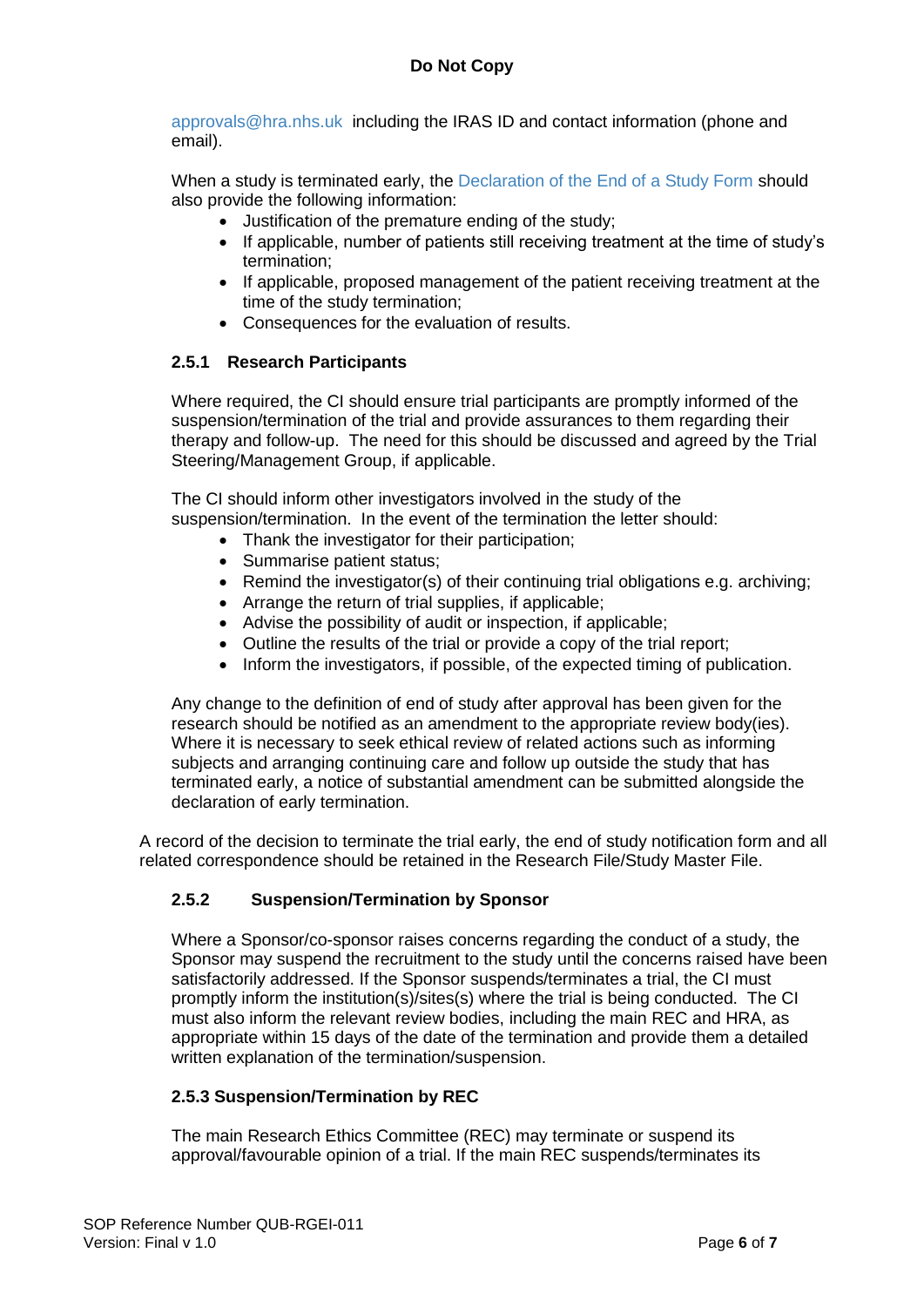[approvals@hra.nhs.uk](mailto:approvals@hra.nhs.uk) including the IRAS ID and contact information (phone and email).

When a study is terminated early, the [Declaration of the End of a Study Form](https://www.hra.nhs.uk/approvals-amendments/managing-your-approval/ending-your-project/) should also provide the following information:

- Justification of the premature ending of the study;
- If applicable, number of patients still receiving treatment at the time of study's termination;
- If applicable, proposed management of the patient receiving treatment at the time of the study termination;
- Consequences for the evaluation of results.

### **2.5.1 Research Participants**

Where required, the CI should ensure trial participants are promptly informed of the suspension/termination of the trial and provide assurances to them regarding their therapy and follow-up. The need for this should be discussed and agreed by the Trial Steering/Management Group, if applicable.

The CI should inform other investigators involved in the study of the suspension/termination. In the event of the termination the letter should:

- Thank the investigator for their participation:
- Summarise patient status;
- Remind the investigator(s) of their continuing trial obligations e.g. archiving;
- Arrange the return of trial supplies, if applicable;
- Advise the possibility of audit or inspection, if applicable;
- Outline the results of the trial or provide a copy of the trial report;
- Inform the investigators, if possible, of the expected timing of publication.

Any change to the definition of end of study after approval has been given for the research should be notified as an amendment to the appropriate review body(ies). Where it is necessary to seek ethical review of related actions such as informing subjects and arranging continuing care and follow up outside the study that has terminated early, a notice of substantial amendment can be submitted alongside the declaration of early termination.

A record of the decision to terminate the trial early, the end of study notification form and all related correspondence should be retained in the Research File/Study Master File.

# **2.5.2 Suspension/Termination by Sponsor**

Where a Sponsor/co-sponsor raises concerns regarding the conduct of a study, the Sponsor may suspend the recruitment to the study until the concerns raised have been satisfactorily addressed. If the Sponsor suspends/terminates a trial, the CI must promptly inform the institution(s)/sites(s) where the trial is being conducted. The CI must also inform the relevant review bodies, including the main REC and HRA, as appropriate within 15 days of the date of the termination and provide them a detailed written explanation of the termination/suspension.

# **2.5.3 Suspension/Termination by REC**

The main Research Ethics Committee (REC) may terminate or suspend its approval/favourable opinion of a trial. If the main REC suspends/terminates its